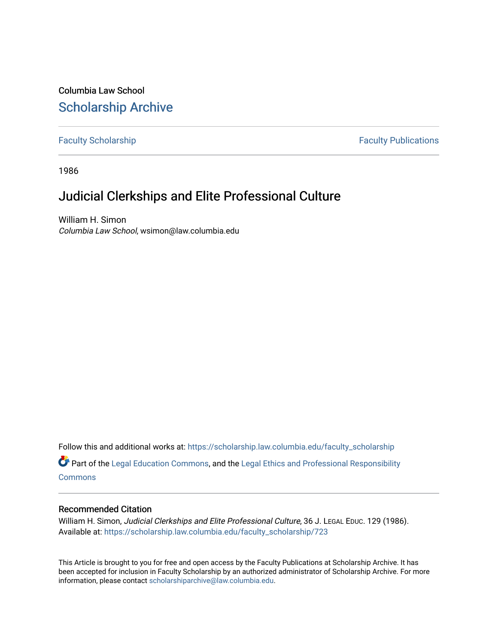Columbia Law School [Scholarship Archive](https://scholarship.law.columbia.edu/) 

# [Faculty Scholarship](https://scholarship.law.columbia.edu/faculty_scholarship) **Faculty Scholarship Faculty Publications**

1986

# Judicial Clerkships and Elite Professional Culture

William H. Simon Columbia Law School, wsimon@law.columbia.edu

Follow this and additional works at: [https://scholarship.law.columbia.edu/faculty\\_scholarship](https://scholarship.law.columbia.edu/faculty_scholarship?utm_source=scholarship.law.columbia.edu%2Ffaculty_scholarship%2F723&utm_medium=PDF&utm_campaign=PDFCoverPages)

Part of the [Legal Education Commons,](http://network.bepress.com/hgg/discipline/857?utm_source=scholarship.law.columbia.edu%2Ffaculty_scholarship%2F723&utm_medium=PDF&utm_campaign=PDFCoverPages) and the [Legal Ethics and Professional Responsibility](http://network.bepress.com/hgg/discipline/895?utm_source=scholarship.law.columbia.edu%2Ffaculty_scholarship%2F723&utm_medium=PDF&utm_campaign=PDFCoverPages) **[Commons](http://network.bepress.com/hgg/discipline/895?utm_source=scholarship.law.columbia.edu%2Ffaculty_scholarship%2F723&utm_medium=PDF&utm_campaign=PDFCoverPages)** 

# Recommended Citation

William H. Simon, Judicial Clerkships and Elite Professional Culture, 36 J. LEGAL EDUC. 129 (1986). Available at: [https://scholarship.law.columbia.edu/faculty\\_scholarship/723](https://scholarship.law.columbia.edu/faculty_scholarship/723?utm_source=scholarship.law.columbia.edu%2Ffaculty_scholarship%2F723&utm_medium=PDF&utm_campaign=PDFCoverPages) 

This Article is brought to you for free and open access by the Faculty Publications at Scholarship Archive. It has been accepted for inclusion in Faculty Scholarship by an authorized administrator of Scholarship Archive. For more information, please contact [scholarshiparchive@law.columbia.edu.](mailto:scholarshiparchive@law.columbia.edu)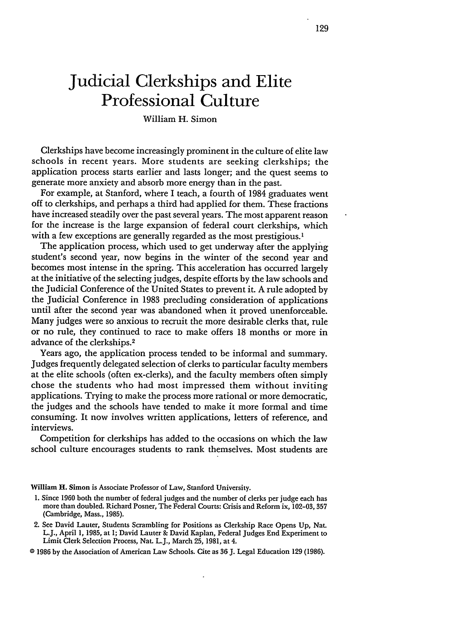# **Judicial Clerkships and Elite Professional Culture**

#### William H. Simon

Clerkships have become increasingly prominent in the culture of elite law schools in recent years. More students are seeking clerkships; the application process starts earlier and lasts longer; and the quest seems to generate more anxiety and absorb more energy than in the past.

For example, at Stanford, where I teach, a fourth of 1984 graduates went off to clerkships, and perhaps a third had applied for them. These fractions have increased steadily over the past several years. The most apparent reason for the increase is the large expansion of federal court clerkships, which with a few exceptions are generally regarded as the most prestigious.<sup>1</sup>

The application process, which used to get underway after the applying student's second year, now begins in the winter of the second year and becomes most intense in the spring. This acceleration has occurred largely at the initiative **of** the selecting judges, despite efforts by the law schools and the Judicial Conference of the United States to prevent it. A rule adopted by the Judicial Conference in 1983 precluding consideration of applications until after the second year was abandoned when it proved unenforceable. Many judges were so anxious to recruit the more desirable clerks that, rule or no rule, they continued to race to make offers 18 months or more in advance of the clerkships. <sup>2</sup>

Years ago, the application process tended to be informal and summary. Judges frequently delegated selection of clerks to particular faculty members at the elite schools (often ex-clerks), and the faculty members often simply chose the students who had most impressed them without inviting applications. Trying to make the process more rational or more democratic, the judges and the schools have tended to make it more formal and time consuming. It now involves written applications, letters of reference, and interviews.

Competition for clerkships has added to the occasions on which the law school culture encourages students to rank themselves. Most students are

William H. Simon is Associate Professor of Law, Stanford University.

- **1.** Since 1960 both the number of federal judges and the number of clerks per judge each has more than doubled. Richard Posner, The Federal Courts: Crisis and Reform ix, 102-03, **<sup>357</sup>** (Cambridge, Mass., 1985).
- 2. See David Lauter, Students Scrambling for Positions as Clerkship Race Opens Up, Nat. L.J., April 1, 1985, at **1;** David Lauter & David Kaplan, Federal Judges End Experiment to Limit Clerk Selection Process, Nat. L.J., March **25,** 1981, at 4.

@ 1986 by the Association of American Law Schools. Cite as 36 J. Legal Education **129** (1986).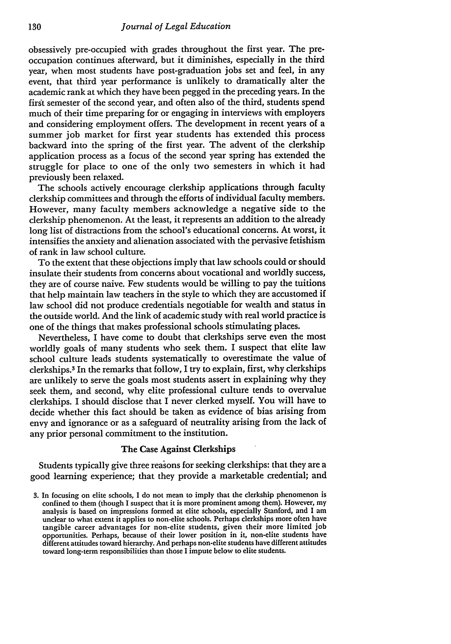obsessively pre-occupied with grades throughout the first year. The preoccupation continues afterward, but it diminishes, especially in the third year, when most students have post-graduation jobs set and feel, in any event, that third year performance is unlikely to dramatically alter the academic rank at which they have been pegged in the preceding years. In the first semester of the second year, and often also of the third, students spend much of their time preparing for or engaging in interviews with employers and considering employment offers. The development in recent years of a summer job market for first year students has extended this process backward into the spring of the first year. The advent of the clerkship application process as a focus of the second year spring has extended the struggle for place to one of the only two semesters in which it had previously been relaxed.

The schools actively encourage clerkship applications through faculty clerkship committees and through the efforts of individual faculty members. However, many faculty members acknowledge a negative side to the clerkship phenomenon. At the least, it represents an addition to the already long list of distractions from the school's educational concerns. At worst, it intensifies the anxiety and alienation associated with the pervasive fetishism of rank in law school culture.

To the extent that these objections imply that law schools could or should insulate their students from concerns about vocational and worldly success, they are of course naive. Few students would be willing to pay the tuitions that help maintain law teachers in the style to which they are accustomed if law school did not produce credentials negotiable for wealth and status in the outside world. And the link of academic study with real world practice is one of the things that makes professional schools stimulating places.

Nevertheless, I have come to doubt that clerkships serve even the most worldly goals of many students who seek them. I suspect that elite law school culture leads students systematically to overestimate the value of clerkships.3 In the remarks that follow, I try to explain, first, why clerkships are unlikely to serve the goals most students assert in explaining why they seek them, and second, why elite professional culture tends to overvalue clerkships. I should disclose that I never clerked myself. You will have to decide whether this fact should be taken as evidence of bias arising from envy and ignorance or as a safeguard of neutrality arising from the lack of any prior personal commitment to the institution.

#### The Case Against Clerkships

Students typically give three reasons for seeking clerkships: that they are a good learning experience; that they provide a marketable credential; and

<sup>3.</sup> In focusing on elite schools, I do not mean to imply that the clerkship phenomenon is confined to them (though I suspect that it is more prominent among them). However, my analysis is based on impressions formed at elite schools, especially Stanford, and I am unclear to what extent it applies to non-elite schools. Perhaps clerkships more often have tangible career advantages for non-elite students, given their more limited job opportunities. Perhaps, because of their lower position in it, non-elite students have different attitudes toward hierarchy. And perhaps non-elite students have different attitudes toward long-term responsibilities than those I impute below to elite students.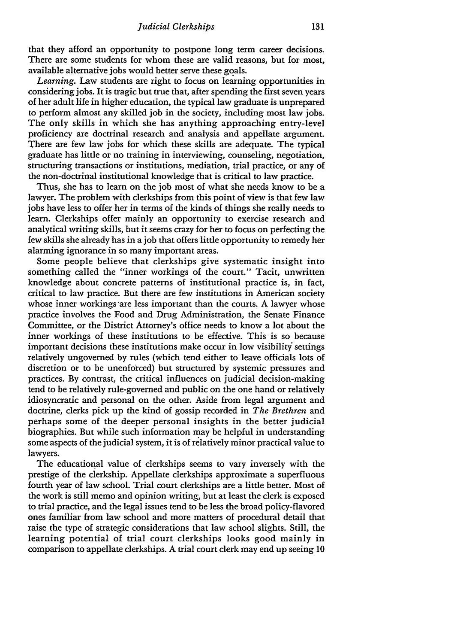that they afford an opportunity to postpone long term career decisions. There are some students for whom these are valid reasons, but for most, available alternative jobs would better serve these goals.

*Learning.* Law students are right to focus on learning opportunities in considering jobs. It is tragic but true that, after spending the first seven years of her adult life in higher education, the typical law graduate is unprepared to perform almost any skilled **job** in the society, including most law jobs. The only skills in which she has anything approaching entry-level proficiency are doctrinal research and analysis and appellate argument. There are few law jobs for which these skills are adequate. The typical graduate has little or no training in interviewing, counseling, negotiation, structuring transactions or institutions, mediation, trial practice, or any of the non-doctrinal institutional knowledge that is critical to law practice.

Thus, she has to learn on the **job** most of what she needs know to be a lawyer. The problem with clerkships from this point of view is that few law jobs have less to offer her in terms of the kinds of things she really needs to learn. Clerkships offer mainly an opportunity to exercise research and analytical writing skills, but it seems crazy for her to focus on perfecting the few skills she already has in a **job** that offers little opportunity to remedy her alarming ignorance in so many important areas.

Some people believe that clerkships give systematic insight into something called the "inner workings of the court." Tacit, unwritten knowledge about concrete patterns of institutional practice is, in fact, critical to law practice. But there are few institutions in American society whose inner workings are less important than the courts. A lawyer whose practice involves the Food and Drug Administration, the Senate Finance Committee, or the District Attorney's office needs to know a lot about the inner workings of these institutions to be effective. This is so because important decisions these institutions make occur in low visibility settings relatively ungoverned by rules (which tend either to leave officials lots of discretion or to be unenforced) but structured by systemic pressures and practices. By contrast, the critical influences on judicial decision-making tend to be relatively rule-governed and public on the one hand or relatively idiosyncratic and personal on the other. Aside from legal argument and doctrine, clerks pick up the kind of gossip recorded in *The Brethren* and perhaps some of the deeper personal insights in the better judicial biographies. But while such information may be helpful in understanding some aspects of the judicial system, it is of relatively minor practical value to lawyers.

The educational value of clerkships seems to vary inversely with the prestige of the clerkship. Appellate clerkships approximate a superfluous fourth year of law school. Trial court clerkships are a little better. Most of the work is still memo and opinion writing, but at least the clerk is exposed to trial practice, and the legal issues tend to be less the broad policy-flavored ones familiar from law school and more matters of procedural detail that raise the type of strategic considerations that law school slights. Still, the learning potential of trial court clerkships looks good mainly in comparison to appellate clerkships. A trial court clerk may end up seeing 10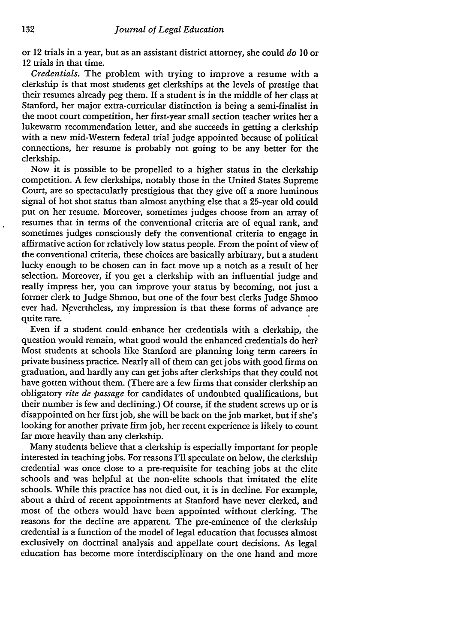or 12 trials in a year, but as an assistant district attorney, she could *do* 10 or 12 trials in that time.

*Credentials.* The problem with trying to improve a resume with a clerkship is that most students get clerkships at the levels of prestige that their resumes already peg them. If a student is in the middle of her class at Stanford, her major extra-curricular distinction is being a semi-finalist in the moot court competition, her first-year small section teacher writes her a lukewarm recommendation letter, and she succeeds in getting a clerkship with a new mid-Western federal trial judge appointed because of political connections, her resume is probably not going to be any better for the clerkship.

Now it is possible to be propelled to a higher status in the clerkship competition. A few clerkships, notably those in the United States Supreme Court, are so spectacularly prestigious that they give off a more luminous signal of hot shot status than almost anything else that a 25-year old could put on her resume. Moreover, sometimes judges choose from an array of resumes that in terms of the conventional criteria are of equal rank, and sometimes judges consciously defy the conventional criteria to engage in affirmative action for relatively low status people. From the point of view of the conventional criteria, these choices are basically arbitrary, but a student lucky enough to be chosen can in fact move up a notch as a result of her selection. Moreover, if you get a clerkship with an influential judge and really impress her, you can improve your status by becoming, not just a former clerk to Judge Shmoo, but one of the four best clerks Judge Shmoo ever had. Nevertheless, my impression is that these forms of advance are quite rare.

Even if a student could enhance her credentials with a clerkship, the question would remain, what good would the enhanced credentials do her? Most students at schools like Stanford are planning long term careers in private business practice. Nearly all of them can get jobs with good firms on graduation, and hardly any can get jobs after clerkships that they could not have gotten without them. (There are a few firms that consider clerkship an obligatory *rite de passage* for candidates of undoubted qualifications, but their number is few and declining.) **Of** course, if the student screws up or is disappointed on her first job, she will be back on the job market, but if she's looking for another private firm job, her recent experience is likely to count far more heavily than any clerkship.

Many students believe that a clerkship is especially important for people interested in teaching jobs. For reasons I'll speculate on below, the clerkship credential was once close to a pre-requisite for teaching jobs at the elite schools and was helpful at the non-elite schools that imitated the elite schools. While this practice has not died out, it is in decline. For example, about a third of recent appointments at Stanford have never clerked, and most of the others would have been appointed without clerking. The reasons for the decline are apparent. The pre-eminence of the clerkship credential is a function of the model of legal education that focusses almost exclusively on doctrinal analysis and appellate court decisions. As legal education has become more interdisciplinary on the one hand and more

 $\ddot{\phantom{a}}$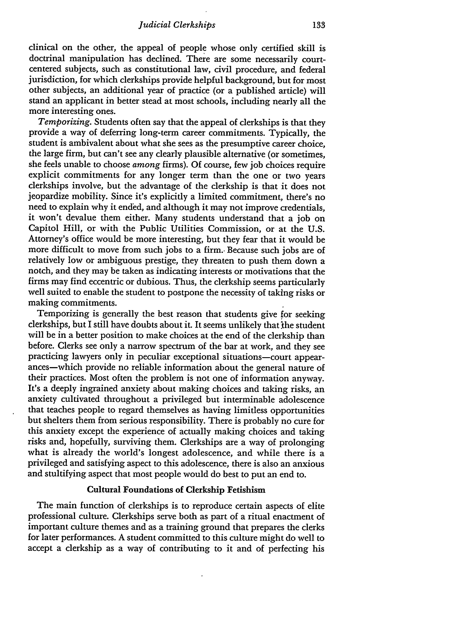clinical on the other, the appeal of people whose only certified skill is doctrinal manipulation has declined. There are some necessarily courtcentered subjects, such as constitutional law, civil procedure, and federal jurisdiction, for which clerkships provide helpful background, but for most other subjects, an additional year of practice (or a published article) will stand an applicant in better stead at most schools, including nearly all the more interesting ones.

*Temporizing.* Students often say that the appeal of clerkships is that they provide a way of deferring long-term career commitments. Typically, the student is ambivalent about what she sees as the presumptive career choice, the large firm, but can't see any clearly plausible alternative (or sometimes, she feels unable to choose *among* firms). Of course, few **job** choices require explicit commitments for any longer term than the one or two years clerkships involve, but the advantage of the clerkship is that it does not jeopardize mobility. Since it's explicitly a limited commitment, there's no need to explain why it ended, and although it may not improve credentials, it won't devalue them either. Many students understand that a **job** on Capitol Hill, or with the Public Utilities Commission, or at the U.S. Attorney's office would be more interesting, but they fear that it would be more difficult to move from such jobs to a firm.. Because such jobs are of relatively low or ambiguous prestige, they threaten to push them down a notch, and they may be taken as indicating interests or motivations that the firms may find eccentric or dubious. Thus, the clerkship seems particularly well suited to enable the student to postpone the necessity of taking risks or making commitments.

Temporizing is generally the best reason that students give for seeking clerkships, but I still have doubts about it. It seems unlikely that the student will be in a better position to make choices at the end of the clerkship than before. Clerks see only a narrow spectrum of the bar at work, and they see practicing lawyers only in peculiar exceptional situations-court appearances-which provide no reliable information about the general nature of their practices. Most often the problem is not one of information anyway. It's a deeply ingrained anxiety about making choices and taking risks, an anxiety cultivated throughout a privileged but interminable adolescence that teaches people to regard themselves as having limitless opportunities but shelters them from serious responsibility. There is probably no cure for this anxiety except the experience of actually making choices and taking risks and, hopefully, surviving them. Clerkships are a way of prolonging what is already the world's longest adolescence, and while there is a privileged and satisfying aspect to this adolescence, there is also an anxious and stultifying aspect that most people would do best to put an end to.

## Cultural Foundations of Clerkship Fetishism

The main function of clerkships is to reproduce certain aspects of elite professional culture. Clerkships serve both as part of a ritual enactment of important culture themes and as a training ground that prepares the clerks for later performances. **A** student committed to this culture might do well to accept a clerkship as a way of contributing to it and of perfecting his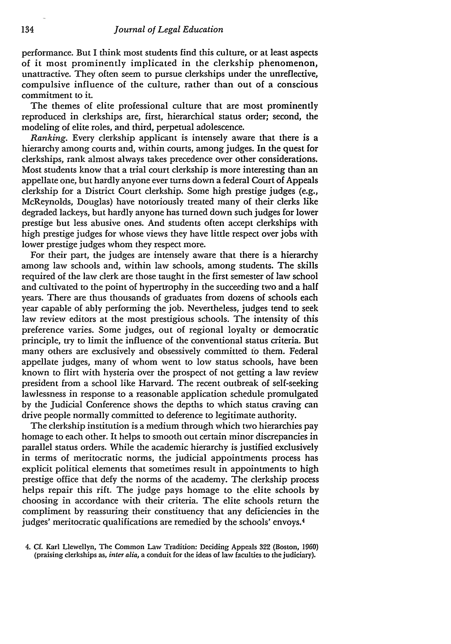performance. But I think most students find this culture, or at least aspects of it most prominently implicated in the clerkship phenomenon, unattractive. They often seem to pursue clerkships under the unreflective, compulsive influence of the culture, rather than out of a conscious commitment to it.

The themes of elite professional culture that are most prominently reproduced in clerkships are, first, hierarchical status order; second, the modeling of elite roles, and third, perpetual adolescence.

*Ranking.* Every clerkship applicant is intensely aware that there is a hierarchy among courts and, within courts, among judges. In the quest for clerkships, rank almost always takes precedence over other considerations. Most students know that a trial court clerkship is more interesting than an appellate one, but hardly anyone ever turns down a federal Court of Appeals clerkship for a District Court clerkship. Some high prestige judges (e.g., McReynolds, Douglas) have notoriously treated many of their clerks like degraded lackeys, but hardly anyone has turned down such judges for lower prestige but less abusive ones. And students often accept clerkships with high prestige judges for whose views they have little respect over jobs with lower prestige judges whom they respect more.

For their part, the judges are intensely aware that there is a hierarchy among law schools and, within law schools, among students. The skills required of the law clerk are those taught in the first semester of law school and cultivated to the point of hypertrophy in the succeeding two and a half years. There are thus thousands of graduates from dozens of schools each year capable of ably performing the job. Nevertheless, judges tend to seek law review editors at the most prestigious schools. The intensity of this preference varies. Some judges, out of regional loyalty or democratic principle, try to limit the influence of the conventional status criteria. But many others are exclusively and obsessively committed to them. Federal appellate judges, many of whom went to low status schools, have been known to flirt with hysteria over the prospect of not getting a law review president from a school like Harvard. The recent outbreak of self-seeking lawlessness in response to a reasonable application schedule promulgated by the Judicial Conference shows the depths to which status craving can drive people normally committed to deference to legitimate authority.

The clerkship institution is a medium through which two hierarchies pay homage to each other. It helps to smooth out certain minor discrepancies in parallel status orders. While the academic hierarchy is justified exclusively in terms of meritocratic norms, the judicial appointments process has explicit political elements that sometimes result in appointments to high prestige office that defy the norms of the academy. The clerkship process helps repair this rift. The judge pays homage to the elite schools by choosing in accordance with their criteria. The elite schools return the compliment by reassuring their constituency that any deficiencies in the judges' meritocratic qualifications are remedied by the schools' envoys.4

<sup>4.</sup> *Cf.* Karl Llewellyn, The Common Law Tradition: Deciding Appeals 322 (Boston, 1960) (praising clerkships as, *inter alia,* a conduit for the ideas of law faculties to the judiciary).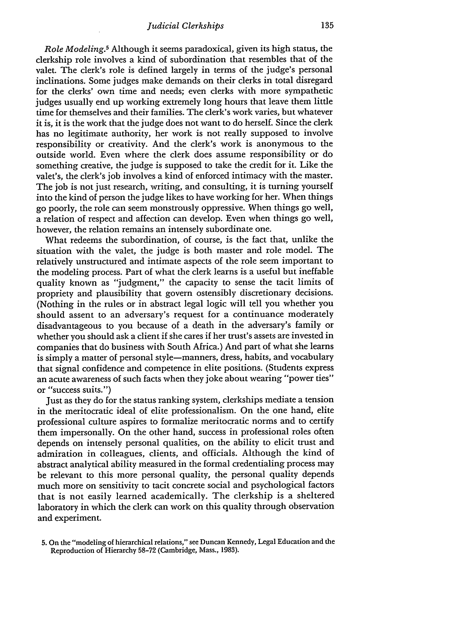*Role Modeling.5* Although it seems paradoxical, given its high status, the clerkship role involves a kind of subordination that resembles that of the valet. The clerk's role is defined largely in terms of the judge's personal inclinations. Some judges make demands on their clerks in total disregard for the clerks' own time and needs; even clerks with more sympathetic judges usually end up working extremely long hours that leave them little time for themselves and their families. The clerk's work varies, but whatever it is, it is the work that the judge does not want to do herself. Since the clerk has no legitimate authority, her work is not really supposed to involve responsibility or creativity. And the clerk's work is anonymous to the outside world. Even where the clerk does assume responsibility or do something creative, the judge is supposed to take the credit for it. Like the valet's, the clerk's job involves a kind of enforced intimacy with the master. The job is not just research, writing, and consulting, it is turning yourself into the kind of person the judge likes to have working for her. When things go poorly, the role can seem monstrously oppressive. When things go well, a relation of respect and affection can develop. Even when things go well, however, the relation remains an intensely subordinate one.

What redeems the subordination, of course, is the fact that, unlike the situation with the valet, the judge is both master and role model. The relatively unstructured and intimate aspects of the role seem important to the modeling process. Part of what the clerk learns is a useful but ineffable quality known as "judgment," the capacity to sense the tacit limits of propriety and plausibility that govern ostensibly discretionary decisions. (Nothing in the rules or in abstract legal logic will tell you whether you should assent to an adversary's request for a continuance moderately disadvantageous to you because of a death in the adversary's family or whether you should ask a client if she cares if her trust's assets are invested in companies that do business with South Africa.) And part of what she learns is simply a matter of personal style-manners, dress, habits, and vocabulary that signal confidence and competence in elite positions. (Students express an acute awareness of such facts when they joke about wearing "power ties" or "success suits.")

Just as they do for the status ranking system, clerkships mediate a tension in the meritocratic ideal of elite professionalism. On the one hand, elite professional culture aspires to formalize meritocratic norms and to certify them impersonally. On the other hand, success in professional roles often depends on intensely personal qualities, on the ability to elicit trust and admiration in colleagues, clients, and officials. Although the kind of abstract analytical ability measured in the formal credentialing process may be relevant to this more personal quality, the personal quality depends much more on sensitivity to tacit concrete social and psychological factors that is not easily learned academically. The clerkship is a sheltered laboratory in which the clerk can work on this quality through observation and experiment.

**<sup>5.</sup>** On the "modeling of hierarchical relations," see Duncan Kennedy, Legal Education and the Reproduction of Hierarchy 58-72 (Cambridge, Mass., 1983).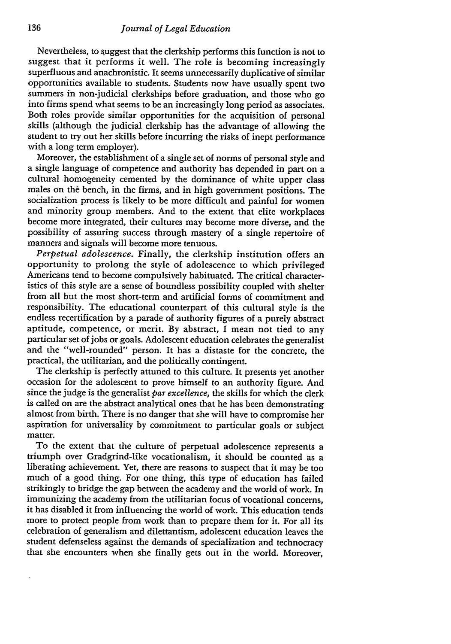Nevertheless, to suggest that the clerkship performs this function is not to suggest that it performs it well. The role is becoming increasingly superfluous and anachronistic. It seems unnecessarily duplicative of similar opportunities available to students. Students now have usually spent two summers in non-judicial clerkships before graduation, and those who go into firms spend what seems to be an increasingly long period as associates. Both roles provide similar opportunities for the acquisition of personal skills (although the judicial clerkship has the advantage of allowing the student to try out her skills before incurring the risks of inept performance with a long term employer).

Moreover, the establishment of a single set of norms of personal style and a single language of competence and authority has depended in part on a cultural homogeneity cemented by the dominance of white upper class males on the bench, in the firms, and in high government positions. The socialization process is likely to be more difficult and painful for women and minority group members. And to the extent that elite workplaces become more integrated, their cultures may become more diverse, and the possibility of assuring success through mastery of a single repertoire of manners and signals will become more tenuous.

*Perpetual adolescence.* Finally, the clerkship institution offers an opportunity to prolong the style of adolescence to which privileged Americans tend to become compulsively habituated. The critical characteristics of this style are a sense of boundless possibility coupled with shelter from all but the most short-term and artificial forms of commitment and responsibility. The educational counterpart of this cultural style is the endless recertification by a parade of authority figures of a purely abstract aptitude, competence, or merit. By abstract, I mean not tied to any particular set of jobs or goals. Adolescent education celebrates the generalist and the "well-rounded" person. It has a distaste for the concrete, the practical, the utilitarian, and the politically contingent.

The clerkship is perfectly attuned to this culture. It presents yet another occasion for the adolescent to prove himself to an authority figure. And since the judge is the generalist *par excellence,* the skills for which the clerk is called on are the abstract analytical ones that he has been demonstrating almost from birth. There is no danger that she will have to compromise her aspiration for universality by commitment to particular goals or subject matter.

To the extent that the culture of perpetual adolescence represents a triumph over Gradgrind-like vocationalism, it should be counted as a liberating achievement. Yet, there are reasons to suspect that it may be too much of a good thing. For one thing, this type of education has failed strikingly to bridge the gap between the academy and the world of work. In immunizing the academy from the utilitarian focus of vocational concerns, it has disabled it from influencing the world of work. This education tends more to protect people from work than to prepare them for it. For all its celebration of generalism and dilettantism, adolescent education leaves the student defenseless against the demands of specialization and technocracy that she encounters when she finally gets out in the world. Moreover,